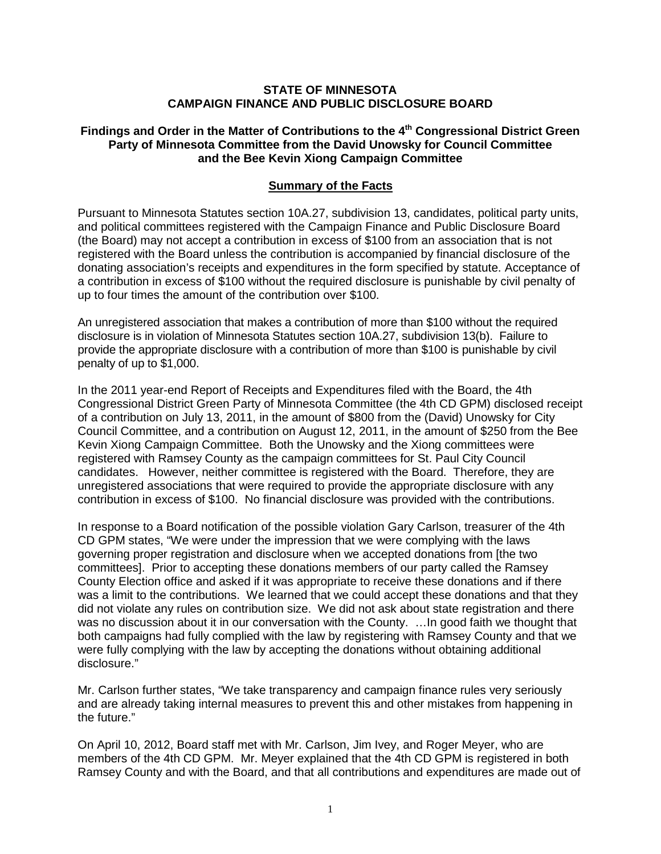#### **STATE OF MINNESOTA CAMPAIGN FINANCE AND PUBLIC DISCLOSURE BOARD**

### **Findings and Order in the Matter of Contributions to the 4th Congressional District Green Party of Minnesota Committee from the David Unowsky for Council Committee and the Bee Kevin Xiong Campaign Committee**

### **Summary of the Facts**

Pursuant to Minnesota Statutes section 10A.27, subdivision 13, candidates, political party units, and political committees registered with the Campaign Finance and Public Disclosure Board (the Board) may not accept a contribution in excess of \$100 from an association that is not registered with the Board unless the contribution is accompanied by financial disclosure of the donating association's receipts and expenditures in the form specified by statute. Acceptance of a contribution in excess of \$100 without the required disclosure is punishable by civil penalty of up to four times the amount of the contribution over \$100.

An unregistered association that makes a contribution of more than \$100 without the required disclosure is in violation of Minnesota Statutes section 10A.27, subdivision 13(b). Failure to provide the appropriate disclosure with a contribution of more than \$100 is punishable by civil penalty of up to \$1,000.

In the 2011 year-end Report of Receipts and Expenditures filed with the Board, the 4th Congressional District Green Party of Minnesota Committee (the 4th CD GPM) disclosed receipt of a contribution on July 13, 2011, in the amount of \$800 from the (David) Unowsky for City Council Committee, and a contribution on August 12, 2011, in the amount of \$250 from the Bee Kevin Xiong Campaign Committee. Both the Unowsky and the Xiong committees were registered with Ramsey County as the campaign committees for St. Paul City Council candidates. However, neither committee is registered with the Board. Therefore, they are unregistered associations that were required to provide the appropriate disclosure with any contribution in excess of \$100. No financial disclosure was provided with the contributions.

In response to a Board notification of the possible violation Gary Carlson, treasurer of the 4th CD GPM states, "We were under the impression that we were complying with the laws governing proper registration and disclosure when we accepted donations from [the two committees]. Prior to accepting these donations members of our party called the Ramsey County Election office and asked if it was appropriate to receive these donations and if there was a limit to the contributions. We learned that we could accept these donations and that they did not violate any rules on contribution size. We did not ask about state registration and there was no discussion about it in our conversation with the County. ... In good faith we thought that both campaigns had fully complied with the law by registering with Ramsey County and that we were fully complying with the law by accepting the donations without obtaining additional disclosure."

Mr. Carlson further states, "We take transparency and campaign finance rules very seriously and are already taking internal measures to prevent this and other mistakes from happening in the future."

On April 10, 2012, Board staff met with Mr. Carlson, Jim Ivey, and Roger Meyer, who are members of the 4th CD GPM. Mr. Meyer explained that the 4th CD GPM is registered in both Ramsey County and with the Board, and that all contributions and expenditures are made out of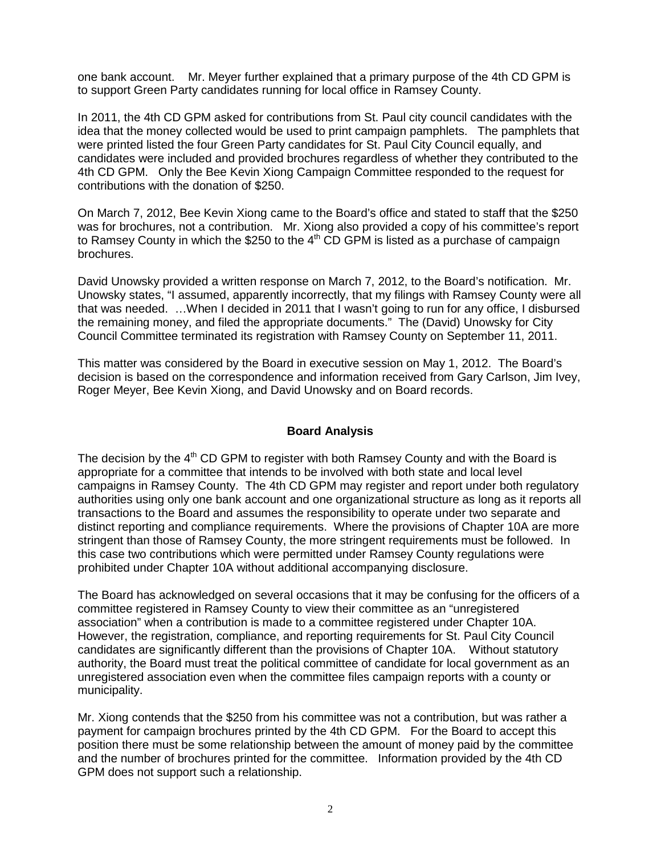one bank account. Mr. Meyer further explained that a primary purpose of the 4th CD GPM is to support Green Party candidates running for local office in Ramsey County.

In 2011, the 4th CD GPM asked for contributions from St. Paul city council candidates with the idea that the money collected would be used to print campaign pamphlets. The pamphlets that were printed listed the four Green Party candidates for St. Paul City Council equally, and candidates were included and provided brochures regardless of whether they contributed to the 4th CD GPM. Only the Bee Kevin Xiong Campaign Committee responded to the request for contributions with the donation of \$250.

On March 7, 2012, Bee Kevin Xiong came to the Board's office and stated to staff that the \$250 was for brochures, not a contribution. Mr. Xiong also provided a copy of his committee's report to Ramsey County in which the \$250 to the  $4<sup>th</sup>$  CD GPM is listed as a purchase of campaign brochures.

David Unowsky provided a written response on March 7, 2012, to the Board's notification. Mr. Unowsky states, "I assumed, apparently incorrectly, that my filings with Ramsey County were all that was needed. …When I decided in 2011 that I wasn't going to run for any office, I disbursed the remaining money, and filed the appropriate documents." The (David) Unowsky for City Council Committee terminated its registration with Ramsey County on September 11, 2011.

This matter was considered by the Board in executive session on May 1, 2012. The Board's decision is based on the correspondence and information received from Gary Carlson, Jim Ivey, Roger Meyer, Bee Kevin Xiong, and David Unowsky and on Board records.

## **Board Analysis**

The decision by the  $4<sup>th</sup>$  CD GPM to register with both Ramsey County and with the Board is appropriate for a committee that intends to be involved with both state and local level campaigns in Ramsey County. The 4th CD GPM may register and report under both regulatory authorities using only one bank account and one organizational structure as long as it reports all transactions to the Board and assumes the responsibility to operate under two separate and distinct reporting and compliance requirements. Where the provisions of Chapter 10A are more stringent than those of Ramsey County, the more stringent requirements must be followed. In this case two contributions which were permitted under Ramsey County regulations were prohibited under Chapter 10A without additional accompanying disclosure.

The Board has acknowledged on several occasions that it may be confusing for the officers of a committee registered in Ramsey County to view their committee as an "unregistered association" when a contribution is made to a committee registered under Chapter 10A. However, the registration, compliance, and reporting requirements for St. Paul City Council candidates are significantly different than the provisions of Chapter 10A. Without statutory authority, the Board must treat the political committee of candidate for local government as an unregistered association even when the committee files campaign reports with a county or municipality.

Mr. Xiong contends that the \$250 from his committee was not a contribution, but was rather a payment for campaign brochures printed by the 4th CD GPM. For the Board to accept this position there must be some relationship between the amount of money paid by the committee and the number of brochures printed for the committee. Information provided by the 4th CD GPM does not support such a relationship.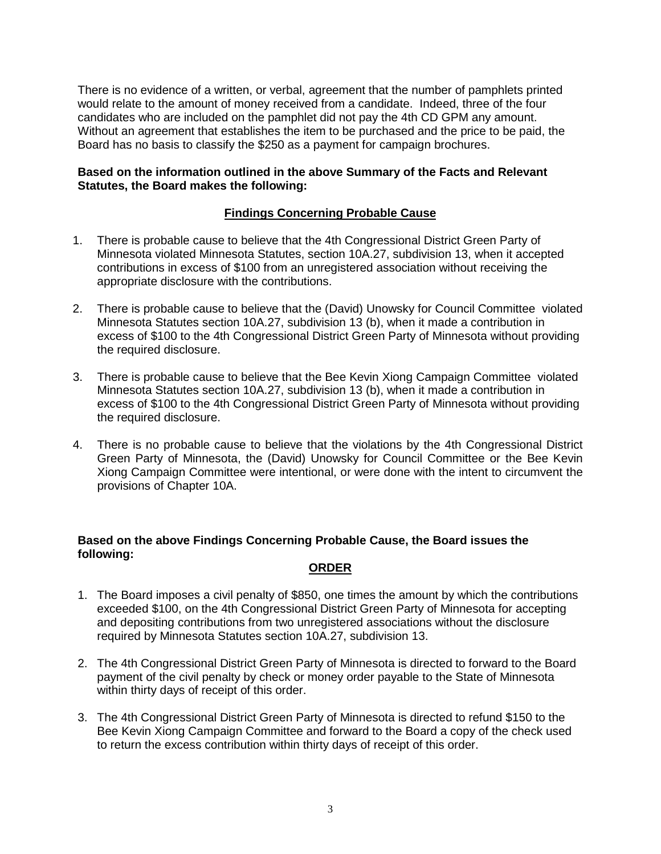There is no evidence of a written, or verbal, agreement that the number of pamphlets printed would relate to the amount of money received from a candidate. Indeed, three of the four candidates who are included on the pamphlet did not pay the 4th CD GPM any amount. Without an agreement that establishes the item to be purchased and the price to be paid, the Board has no basis to classify the \$250 as a payment for campaign brochures.

### **Based on the information outlined in the above Summary of the Facts and Relevant Statutes, the Board makes the following:**

# **Findings Concerning Probable Cause**

- 1. There is probable cause to believe that the 4th Congressional District Green Party of Minnesota violated Minnesota Statutes, section 10A.27, subdivision 13, when it accepted contributions in excess of \$100 from an unregistered association without receiving the appropriate disclosure with the contributions.
- 2. There is probable cause to believe that the (David) Unowsky for Council Committee violated Minnesota Statutes section 10A.27, subdivision 13 (b), when it made a contribution in excess of \$100 to the 4th Congressional District Green Party of Minnesota without providing the required disclosure.
- 3. There is probable cause to believe that the Bee Kevin Xiong Campaign Committee violated Minnesota Statutes section 10A.27, subdivision 13 (b), when it made a contribution in excess of \$100 to the 4th Congressional District Green Party of Minnesota without providing the required disclosure.
- 4. There is no probable cause to believe that the violations by the 4th Congressional District Green Party of Minnesota, the (David) Unowsky for Council Committee or the Bee Kevin Xiong Campaign Committee were intentional, or were done with the intent to circumvent the provisions of Chapter 10A.

# **Based on the above Findings Concerning Probable Cause, the Board issues the following:**

#### **ORDER**

- 1. The Board imposes a civil penalty of \$850, one times the amount by which the contributions exceeded \$100, on the 4th Congressional District Green Party of Minnesota for accepting and depositing contributions from two unregistered associations without the disclosure required by Minnesota Statutes section 10A.27, subdivision 13.
- 2. The 4th Congressional District Green Party of Minnesota is directed to forward to the Board payment of the civil penalty by check or money order payable to the State of Minnesota within thirty days of receipt of this order.
- 3. The 4th Congressional District Green Party of Minnesota is directed to refund \$150 to the Bee Kevin Xiong Campaign Committee and forward to the Board a copy of the check used to return the excess contribution within thirty days of receipt of this order.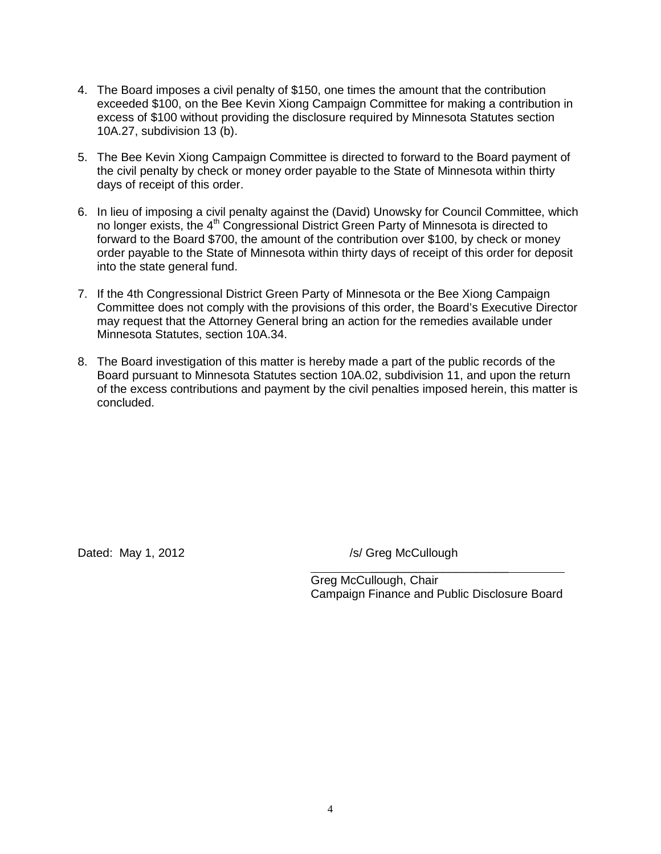- 4. The Board imposes a civil penalty of \$150, one times the amount that the contribution exceeded \$100, on the Bee Kevin Xiong Campaign Committee for making a contribution in excess of \$100 without providing the disclosure required by Minnesota Statutes section 10A.27, subdivision 13 (b).
- 5. The Bee Kevin Xiong Campaign Committee is directed to forward to the Board payment of the civil penalty by check or money order payable to the State of Minnesota within thirty days of receipt of this order.
- 6. In lieu of imposing a civil penalty against the (David) Unowsky for Council Committee, which no longer exists, the 4<sup>th</sup> Congressional District Green Party of Minnesota is directed to forward to the Board \$700, the amount of the contribution over \$100, by check or money order payable to the State of Minnesota within thirty days of receipt of this order for deposit into the state general fund.
- 7. If the 4th Congressional District Green Party of Minnesota or the Bee Xiong Campaign Committee does not comply with the provisions of this order, the Board's Executive Director may request that the Attorney General bring an action for the remedies available under Minnesota Statutes, section 10A.34.
- 8. The Board investigation of this matter is hereby made a part of the public records of the Board pursuant to Minnesota Statutes section 10A.02, subdivision 11, and upon the return of the excess contributions and payment by the civil penalties imposed herein, this matter is concluded.

Dated: May 1, 2012 */s/ Greg McCullough* 

 $\overline{\phantom{a}}$  , which is a set of the set of the set of the set of the set of the set of the set of the set of the set of the set of the set of the set of the set of the set of the set of the set of the set of the set of th

Greg McCullough, Chair Campaign Finance and Public Disclosure Board